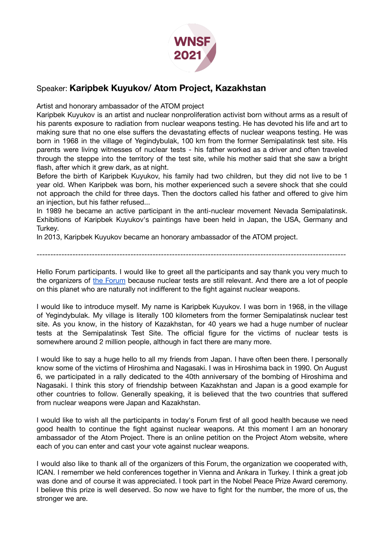

## Speaker: **Karipbek Kuyukov/ Atom Project, Kazakhstan**

Artist and honorary ambassador of the ATOM project

Karipbek Kuyukov is an artist and nuclear nonproliferation activist born without arms as a result of his parents exposure to radiation from nuclear weapons testing. He has devoted his life and art to making sure that no one else suffers the devastating effects of nuclear weapons testing. He was born in 1968 in the village of Yegindybulak, 100 km from the former Semipalatinsk test site. His parents were living witnesses of nuclear tests - his father worked as a driver and often traveled through the steppe into the territory of the test site, while his mother said that she saw a bright flash, after which it grew dark, as at night.

Before the birth of Karipbek Kuyukov, his family had two children, but they did not live to be 1 year old. When Karipbek was born, his mother experienced such a severe shock that she could not approach the child for three days. Then the doctors called his father and offered to give him an injection, but his father refused...

In 1989 he became an active participant in the anti-nuclear movement Nevada Semipalatinsk. Exhibitions of Karipbek Kuyukov's paintings have been held in Japan, the USA, Germany and Turkey.

In 2013, Karipbek Kuyukov became an honorary ambassador of the ATOM project.

Hello Forum participants. I would like to greet all the participants and say thank you very much to the organizers of the [Forum](https://nuclearsurvivors.org) because nuclear tests are still relevant. And there are a lot of people on this planet who are naturally not indifferent to the fight against nuclear weapons.

----------------------------------------------------------------------------------------------------------------

I would like to introduce myself. My name is Karipbek Kuyukov. I was born in 1968, in the village of Yegindybulak. My village is literally 100 kilometers from the former Semipalatinsk nuclear test site. As you know, in the history of Kazakhstan, for 40 years we had a huge number of nuclear tests at the Semipalatinsk Test Site. The official figure for the victims of nuclear tests is somewhere around 2 million people, although in fact there are many more.

I would like to say a huge hello to all my friends from Japan. I have often been there. I personally know some of the victims of Hiroshima and Nagasaki. I was in Hiroshima back in 1990. On August 6, we participated in a rally dedicated to the 40th anniversary of the bombing of Hiroshima and Nagasaki. I think this story of friendship between Kazakhstan and Japan is a good example for other countries to follow. Generally speaking, it is believed that the two countries that suffered from nuclear weapons were Japan and Kazakhstan.

I would like to wish all the participants in today's Forum first of all good health because we need good health to continue the fight against nuclear weapons. At this moment I am an honorary ambassador of the Atom Project. There is an online petition on the Project Atom website, where each of you can enter and cast your vote against nuclear weapons.

I would also like to thank all of the organizers of this Forum, the organization we cooperated with, ICAN. I remember we held conferences together in Vienna and Ankara in Turkey. I think a great job was done and of course it was appreciated. I took part in the Nobel Peace Prize Award ceremony. I believe this prize is well deserved. So now we have to fight for the number, the more of us, the stronger we are.